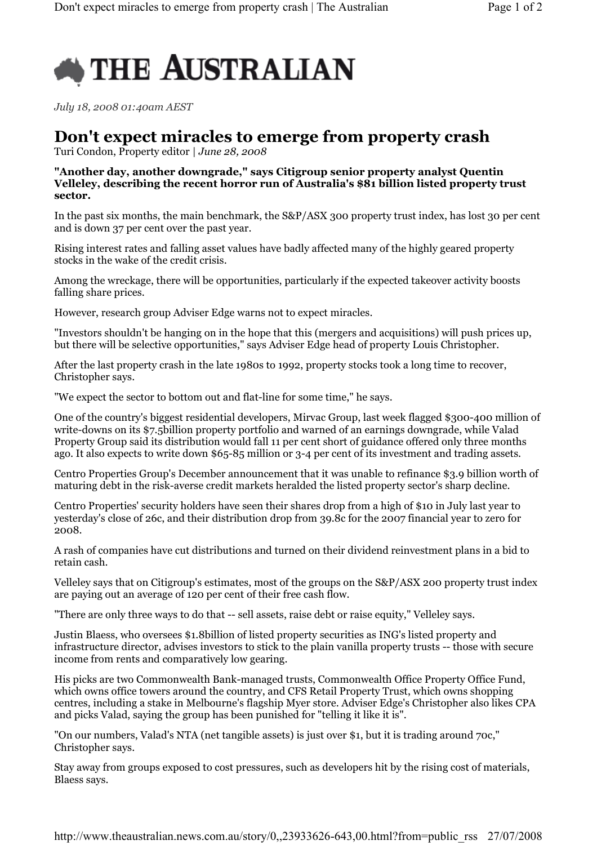

July 18, 2008 01:40am AEST

## Don't expect miracles to emerge from property crash

Turi Condon, Property editor | June 28, 2008

## "Another day, another downgrade," says Citigroup senior property analyst Quentin Velleley, describing the recent horror run of Australia's \$81 billion listed property trust sector.

In the past six months, the main benchmark, the S&P/ASX 300 property trust index, has lost 30 per cent and is down 37 per cent over the past year.

Rising interest rates and falling asset values have badly affected many of the highly geared property stocks in the wake of the credit crisis.

Among the wreckage, there will be opportunities, particularly if the expected takeover activity boosts falling share prices.

However, research group Adviser Edge warns not to expect miracles.

"Investors shouldn't be hanging on in the hope that this (mergers and acquisitions) will push prices up, but there will be selective opportunities," says Adviser Edge head of property Louis Christopher.

After the last property crash in the late 1980s to 1992, property stocks took a long time to recover, Christopher says.

"We expect the sector to bottom out and flat-line for some time," he says.

One of the country's biggest residential developers, Mirvac Group, last week flagged \$300-400 million of write-downs on its \$7.5billion property portfolio and warned of an earnings downgrade, while Valad Property Group said its distribution would fall 11 per cent short of guidance offered only three months ago. It also expects to write down \$65-85 million or 3-4 per cent of its investment and trading assets.

Centro Properties Group's December announcement that it was unable to refinance \$3.9 billion worth of maturing debt in the risk-averse credit markets heralded the listed property sector's sharp decline.

Centro Properties' security holders have seen their shares drop from a high of \$10 in July last year to yesterday's close of 26c, and their distribution drop from 39.8c for the 2007 financial year to zero for 2008.

A rash of companies have cut distributions and turned on their dividend reinvestment plans in a bid to retain cash.

Velleley says that on Citigroup's estimates, most of the groups on the S&P/ASX 200 property trust index are paying out an average of 120 per cent of their free cash flow.

"There are only three ways to do that -- sell assets, raise debt or raise equity," Velleley says.

Justin Blaess, who oversees \$1.8billion of listed property securities as ING's listed property and infrastructure director, advises investors to stick to the plain vanilla property trusts -- those with secure income from rents and comparatively low gearing.

His picks are two Commonwealth Bank-managed trusts, Commonwealth Office Property Office Fund, which owns office towers around the country, and CFS Retail Property Trust, which owns shopping centres, including a stake in Melbourne's flagship Myer store. Adviser Edge's Christopher also likes CPA and picks Valad, saying the group has been punished for "telling it like it is".

"On our numbers, Valad's NTA (net tangible assets) is just over \$1, but it is trading around 70c," Christopher says.

Stay away from groups exposed to cost pressures, such as developers hit by the rising cost of materials, Blaess says.